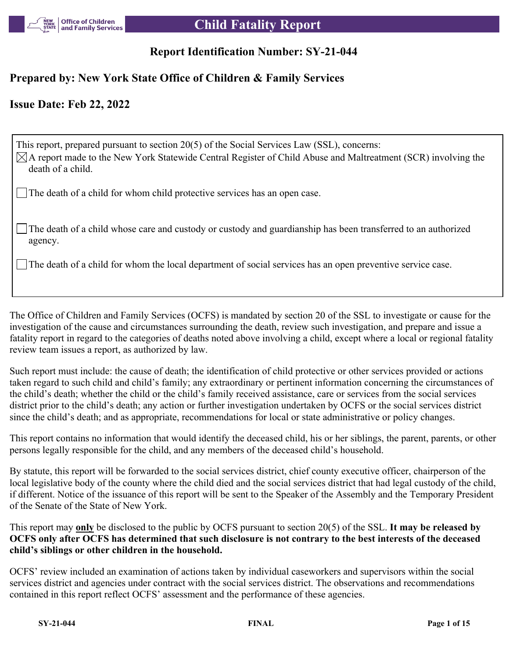

# **Report Identification Number: SY-21-044**

# **Prepared by: New York State Office of Children & Family Services**

# **Issue Date: Feb 22, 2022**

This report, prepared pursuant to section 20(5) of the Social Services Law (SSL), concerns:  $\boxtimes$ A report made to the New York Statewide Central Register of Child Abuse and Maltreatment (SCR) involving the death of a child.

The death of a child for whom child protective services has an open case.

The death of a child whose care and custody or custody and guardianship has been transferred to an authorized agency.

The death of a child for whom the local department of social services has an open preventive service case.

The Office of Children and Family Services (OCFS) is mandated by section 20 of the SSL to investigate or cause for the investigation of the cause and circumstances surrounding the death, review such investigation, and prepare and issue a fatality report in regard to the categories of deaths noted above involving a child, except where a local or regional fatality review team issues a report, as authorized by law.

Such report must include: the cause of death; the identification of child protective or other services provided or actions taken regard to such child and child's family; any extraordinary or pertinent information concerning the circumstances of the child's death; whether the child or the child's family received assistance, care or services from the social services district prior to the child's death; any action or further investigation undertaken by OCFS or the social services district since the child's death; and as appropriate, recommendations for local or state administrative or policy changes.

This report contains no information that would identify the deceased child, his or her siblings, the parent, parents, or other persons legally responsible for the child, and any members of the deceased child's household.

By statute, this report will be forwarded to the social services district, chief county executive officer, chairperson of the local legislative body of the county where the child died and the social services district that had legal custody of the child, if different. Notice of the issuance of this report will be sent to the Speaker of the Assembly and the Temporary President of the Senate of the State of New York.

This report may **only** be disclosed to the public by OCFS pursuant to section 20(5) of the SSL. **It may be released by OCFS only after OCFS has determined that such disclosure is not contrary to the best interests of the deceased child's siblings or other children in the household.**

OCFS' review included an examination of actions taken by individual caseworkers and supervisors within the social services district and agencies under contract with the social services district. The observations and recommendations contained in this report reflect OCFS' assessment and the performance of these agencies.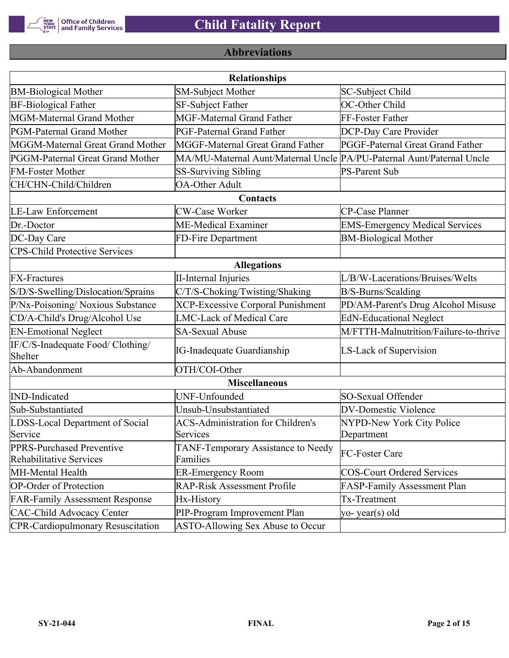

# **Abbreviations**

| <b>Relationships</b>                                 |                                                                       |                                       |  |  |  |
|------------------------------------------------------|-----------------------------------------------------------------------|---------------------------------------|--|--|--|
| <b>BM-Biological Mother</b>                          | <b>SM-Subject Mother</b>                                              | SC-Subject Child                      |  |  |  |
| <b>BF-Biological Father</b>                          | SF-Subject Father                                                     | OC-Other Child                        |  |  |  |
| MGM-Maternal Grand Mother                            | <b>MGF-Maternal Grand Father</b>                                      | FF-Foster Father                      |  |  |  |
| PGM-Paternal Grand Mother                            | PGF-Paternal Grand Father                                             | DCP-Day Care Provider                 |  |  |  |
| MGGM-Maternal Great Grand Mother                     | MGGF-Maternal Great Grand Father                                      | PGGF-Paternal Great Grand Father      |  |  |  |
| PGGM-Paternal Great Grand Mother                     | MA/MU-Maternal Aunt/Maternal Uncle PA/PU-Paternal Aunt/Paternal Uncle |                                       |  |  |  |
| <b>FM-Foster Mother</b>                              | <b>SS-Surviving Sibling</b>                                           | <b>PS-Parent Sub</b>                  |  |  |  |
| CH/CHN-Child/Children                                | <b>OA-Other Adult</b>                                                 |                                       |  |  |  |
|                                                      | Contacts                                                              |                                       |  |  |  |
| <b>LE-Law Enforcement</b>                            | <b>CW-Case Worker</b>                                                 | CP-Case Planner                       |  |  |  |
| Dr.-Doctor                                           | ME-Medical Examiner                                                   | <b>EMS-Emergency Medical Services</b> |  |  |  |
| DC-Day Care                                          | FD-Fire Department                                                    | <b>BM-Biological Mother</b>           |  |  |  |
| <b>CPS-Child Protective Services</b>                 |                                                                       |                                       |  |  |  |
|                                                      | <b>Allegations</b>                                                    |                                       |  |  |  |
| <b>FX-Fractures</b>                                  | <b>II-Internal Injuries</b>                                           | L/B/W-Lacerations/Bruises/Welts       |  |  |  |
| S/D/S-Swelling/Dislocation/Sprains                   | C/T/S-Choking/Twisting/Shaking                                        | B/S-Burns/Scalding                    |  |  |  |
| P/Nx-Poisoning/ Noxious Substance                    | <b>XCP-Excessive Corporal Punishment</b>                              | PD/AM-Parent's Drug Alcohol Misuse    |  |  |  |
| CD/A-Child's Drug/Alcohol Use                        | <b>LMC-Lack of Medical Care</b>                                       | <b>EdN-Educational Neglect</b>        |  |  |  |
| <b>EN-Emotional Neglect</b>                          | <b>SA-Sexual Abuse</b>                                                | M/FTTH-Malnutrition/Failure-to-thrive |  |  |  |
| IF/C/S-Inadequate Food/ Clothing/<br>Shelter         | <b>IG-Inadequate Guardianship</b>                                     | LS-Lack of Supervision                |  |  |  |
| Ab-Abandonment                                       | OTH/COI-Other                                                         |                                       |  |  |  |
|                                                      | <b>Miscellaneous</b>                                                  |                                       |  |  |  |
| <b>IND-Indicated</b>                                 | UNF-Unfounded                                                         | SO-Sexual Offender                    |  |  |  |
| Sub-Substantiated                                    | Unsub-Unsubstantiated                                                 | <b>DV-Domestic Violence</b>           |  |  |  |
| LDSS-Local Department of Social                      | <b>ACS-Administration for Children's</b>                              | NYPD-New York City Police             |  |  |  |
| Service                                              | Services                                                              | Department                            |  |  |  |
| PPRS-Purchased Preventive<br>Rehabilitative Services | TANF-Temporary Assistance to Needy<br>Families                        | FC-Foster Care                        |  |  |  |
| MH-Mental Health                                     | <b>ER-Emergency Room</b>                                              | <b>COS-Court Ordered Services</b>     |  |  |  |
| <b>OP-Order of Protection</b>                        | <b>RAP-Risk Assessment Profile</b>                                    | FASP-Family Assessment Plan           |  |  |  |
| <b>FAR-Family Assessment Response</b>                | Hx-History                                                            | Tx-Treatment                          |  |  |  |
| <b>CAC-Child Advocacy Center</b>                     | PIP-Program Improvement Plan                                          | yo-year(s) old                        |  |  |  |
| <b>CPR-Cardiopulmonary Resuscitation</b>             | ASTO-Allowing Sex Abuse to Occur                                      |                                       |  |  |  |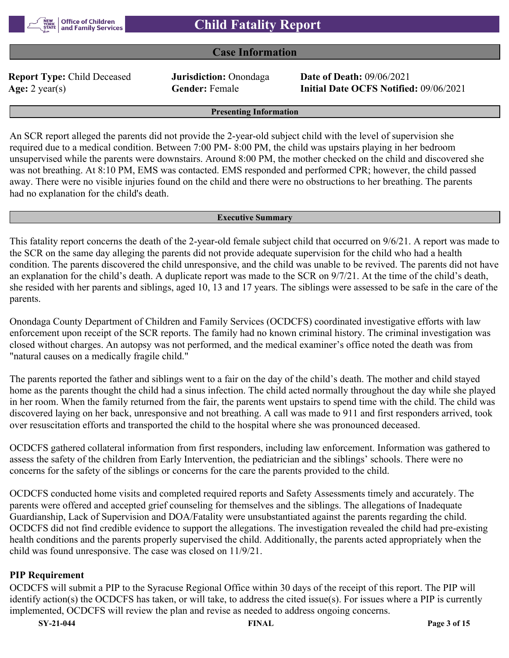

# **Case Information**

**Report Type:** Child Deceased **Jurisdiction:** Onondaga **Date of Death:** 09/06/2021

**Age:** 2 year(s) **Gender:** Female **Initial Date OCFS Notified:** 09/06/2021

**Presenting Information**

An SCR report alleged the parents did not provide the 2-year-old subject child with the level of supervision she required due to a medical condition. Between 7:00 PM- 8:00 PM, the child was upstairs playing in her bedroom unsupervised while the parents were downstairs. Around 8:00 PM, the mother checked on the child and discovered she was not breathing. At 8:10 PM, EMS was contacted. EMS responded and performed CPR; however, the child passed away. There were no visible injuries found on the child and there were no obstructions to her breathing. The parents had no explanation for the child's death.

#### **Executive Summary**

This fatality report concerns the death of the 2-year-old female subject child that occurred on 9/6/21. A report was made to the SCR on the same day alleging the parents did not provide adequate supervision for the child who had a health condition. The parents discovered the child unresponsive, and the child was unable to be revived. The parents did not have an explanation for the child's death. A duplicate report was made to the SCR on 9/7/21. At the time of the child's death, she resided with her parents and siblings, aged 10, 13 and 17 years. The siblings were assessed to be safe in the care of the parents.

Onondaga County Department of Children and Family Services (OCDCFS) coordinated investigative efforts with law enforcement upon receipt of the SCR reports. The family had no known criminal history. The criminal investigation was closed without charges. An autopsy was not performed, and the medical examiner's office noted the death was from "natural causes on a medically fragile child."

The parents reported the father and siblings went to a fair on the day of the child's death. The mother and child stayed home as the parents thought the child had a sinus infection. The child acted normally throughout the day while she played in her room. When the family returned from the fair, the parents went upstairs to spend time with the child. The child was discovered laying on her back, unresponsive and not breathing. A call was made to 911 and first responders arrived, took over resuscitation efforts and transported the child to the hospital where she was pronounced deceased.

OCDCFS gathered collateral information from first responders, including law enforcement. Information was gathered to assess the safety of the children from Early Intervention, the pediatrician and the siblings' schools. There were no concerns for the safety of the siblings or concerns for the care the parents provided to the child.

OCDCFS conducted home visits and completed required reports and Safety Assessments timely and accurately. The parents were offered and accepted grief counseling for themselves and the siblings. The allegations of Inadequate Guardianship, Lack of Supervision and DOA/Fatality were unsubstantiated against the parents regarding the child. OCDCFS did not find credible evidence to support the allegations. The investigation revealed the child had pre-existing health conditions and the parents properly supervised the child. Additionally, the parents acted appropriately when the child was found unresponsive. The case was closed on 11/9/21.

#### **PIP Requirement**

OCDCFS will submit a PIP to the Syracuse Regional Office within 30 days of the receipt of this report. The PIP will identify action(s) the OCDCFS has taken, or will take, to address the cited issue(s). For issues where a PIP is currently implemented, OCDCFS will review the plan and revise as needed to address ongoing concerns.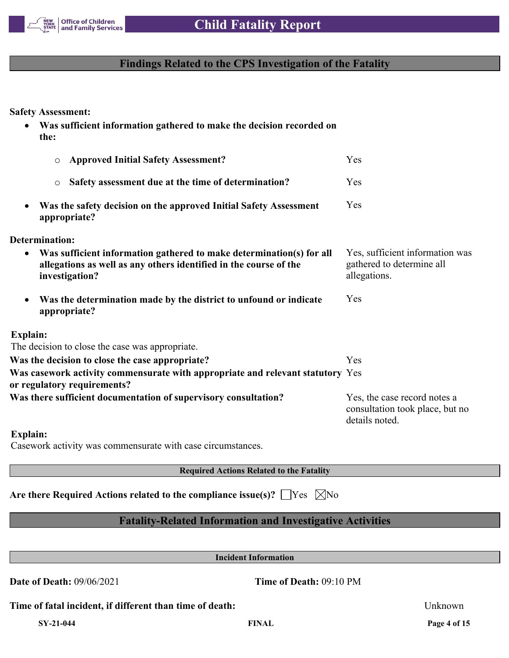

# **Findings Related to the CPS Investigation of the Fatality**

**Safety Assessment:**

 **Was sufficient information gathered to make the decision recorded on the:** o **Approved Initial Safety Assessment?** Yes o **Safety assessment due at the time of determination?** Yes **Was the safety decision on the approved Initial Safety Assessment appropriate?** Yes **Determination: Was sufficient information gathered to make determination(s) for all allegations as well as any others identified in the course of the investigation?** Yes, sufficient information was gathered to determine all allegations. **Was the determination made by the district to unfound or indicate appropriate?** Yes **Explain:** The decision to close the case was appropriate. **Was the decision to close the case appropriate?** Yes **Was casework activity commensurate with appropriate and relevant statutory**  Yes **or regulatory requirements?** Was there sufficient documentation of supervisory consultation? Yes, the case record notes a consultation took place, but no details noted.

**Explain:**

Casework activity was commensurate with case circumstances.

**Required Actions Related to the Fatality**

**Are there Required Actions related to the compliance issue(s)?** |  $\text{Yes } \times \text{No}$ 

# **Fatality-Related Information and Investigative Activities**

**Incident Information**

**Date of Death:** 09/06/2021 **Time of Death:** 09:10 PM

**Time of fatal incident, if different than time of death:** Unknown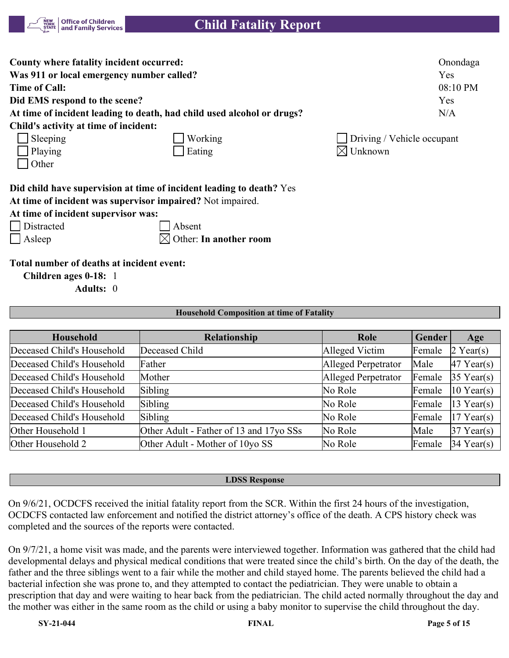

| County where fatality incident occurred:  |                                                                        | Onondaga                   |
|-------------------------------------------|------------------------------------------------------------------------|----------------------------|
| Was 911 or local emergency number called? |                                                                        | Yes                        |
| Time of Call:                             |                                                                        | 08:10 PM                   |
| Did EMS respond to the scene?             |                                                                        | Yes                        |
|                                           | At time of incident leading to death, had child used alcohol or drugs? | N/A                        |
| Child's activity at time of incident:     |                                                                        |                            |
| $\Box$ Sleeping                           | Working                                                                | Driving / Vehicle occupant |
| Playing                                   | Eating                                                                 | $\boxtimes$ Unknown        |
| $\vert$ Other                             |                                                                        |                            |
|                                           | Did child have supervision at time of incident leading to death? Yes   |                            |

**At time of incident was supervisor impaired?** Not impaired.

**At time of incident supervisor was:**

Distracted Absent

Asleep  $\boxtimes$  Other: **In another room** 

**Total number of deaths at incident event:**

**Children ages 0-18:** 1

**Adults:** 0

| <b>Household Composition at time of Fatality</b> |
|--------------------------------------------------|
|--------------------------------------------------|

| <b>Household</b>           | Relationship                            | Role                | Gender | Age          |
|----------------------------|-----------------------------------------|---------------------|--------|--------------|
| Deceased Child's Household | Deceased Child                          | Alleged Victim      | Female | $2$ Year(s)  |
| Deceased Child's Household | Father                                  | Alleged Perpetrator | Male   | $47$ Year(s) |
| Deceased Child's Household | Mother                                  | Alleged Perpetrator | Female | $35$ Year(s) |
| Deceased Child's Household | Sibling                                 | No Role             | Female | $10$ Year(s) |
| Deceased Child's Household | Sibling                                 | No Role             | Female | $13$ Year(s) |
| Deceased Child's Household | Sibling                                 | No Role             | Female | $17$ Year(s) |
| Other Household 1          | Other Adult - Father of 13 and 17yo SSs | No Role             | Male   | $37$ Year(s) |
| Other Household 2          | Other Adult - Mother of 10yo SS         | No Role             | Female | $34$ Year(s) |

#### **LDSS Response**

On 9/6/21, OCDCFS received the initial fatality report from the SCR. Within the first 24 hours of the investigation, OCDCFS contacted law enforcement and notified the district attorney's office of the death. A CPS history check was completed and the sources of the reports were contacted.

On 9/7/21, a home visit was made, and the parents were interviewed together. Information was gathered that the child had developmental delays and physical medical conditions that were treated since the child's birth. On the day of the death, the father and the three siblings went to a fair while the mother and child stayed home. The parents believed the child had a bacterial infection she was prone to, and they attempted to contact the pediatrician. They were unable to obtain a prescription that day and were waiting to hear back from the pediatrician. The child acted normally throughout the day and the mother was either in the same room as the child or using a baby monitor to supervise the child throughout the day.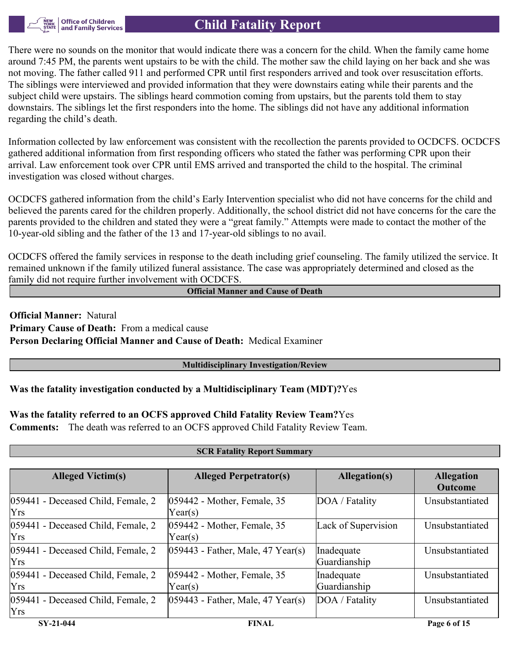

There were no sounds on the monitor that would indicate there was a concern for the child. When the family came home around 7:45 PM, the parents went upstairs to be with the child. The mother saw the child laying on her back and she was not moving. The father called 911 and performed CPR until first responders arrived and took over resuscitation efforts. The siblings were interviewed and provided information that they were downstairs eating while their parents and the subject child were upstairs. The siblings heard commotion coming from upstairs, but the parents told them to stay downstairs. The siblings let the first responders into the home. The siblings did not have any additional information regarding the child's death.

Information collected by law enforcement was consistent with the recollection the parents provided to OCDCFS. OCDCFS gathered additional information from first responding officers who stated the father was performing CPR upon their arrival. Law enforcement took over CPR until EMS arrived and transported the child to the hospital. The criminal investigation was closed without charges.

OCDCFS gathered information from the child's Early Intervention specialist who did not have concerns for the child and believed the parents cared for the children properly. Additionally, the school district did not have concerns for the care the parents provided to the children and stated they were a "great family." Attempts were made to contact the mother of the 10-year-old sibling and the father of the 13 and 17-year-old siblings to no avail.

OCDCFS offered the family services in response to the death including grief counseling. The family utilized the service. It remained unknown if the family utilized funeral assistance. The case was appropriately determined and closed as the family did not require further involvement with OCDCFS.

**Official Manner and Cause of Death**

**Official Manner:** Natural **Primary Cause of Death:** From a medical cause **Person Declaring Official Manner and Cause of Death:** Medical Examiner

#### **Multidisciplinary Investigation/Review**

# **Was the fatality investigation conducted by a Multidisciplinary Team (MDT)?**Yes

# **Was the fatality referred to an OCFS approved Child Fatality Review Team?**Yes

**Comments:** The death was referred to an OCFS approved Child Fatality Review Team.

| <b>SCR Fatality Report Summary</b>               |                                        |                            |                                     |  |  |
|--------------------------------------------------|----------------------------------------|----------------------------|-------------------------------------|--|--|
|                                                  |                                        |                            |                                     |  |  |
| <b>Alleged Victim(s)</b>                         | <b>Alleged Perpetrator(s)</b>          | Allegation(s)              | <b>Allegation</b><br><b>Outcome</b> |  |  |
| 059441 - Deceased Child, Female, 2<br><b>Yrs</b> | 059442 - Mother, Female, 35<br>Year(s) | DOA / Fatality             | Unsubstantiated                     |  |  |
| 059441 - Deceased Child, Female, 2<br><b>Yrs</b> | 059442 - Mother, Female, 35<br>Year(s) | Lack of Supervision        | Unsubstantiated                     |  |  |
| 059441 - Deceased Child, Female, 2<br><b>Yrs</b> | $ 059443$ - Father, Male, 47 Year(s)   | Inadequate<br>Guardianship | Unsubstantiated                     |  |  |
| 059441 - Deceased Child, Female, 2<br><b>Yrs</b> | 059442 - Mother, Female, 35<br>Year(s) | Inadequate<br>Guardianship | Unsubstantiated                     |  |  |
| 059441 - Deceased Child, Female, 2<br><b>Yrs</b> | $ 059443$ - Father, Male, 47 Year(s)   | DOA / Fatality             | Unsubstantiated                     |  |  |
| SY-21-044                                        | <b>FINAL</b>                           |                            | Page 6 of 15                        |  |  |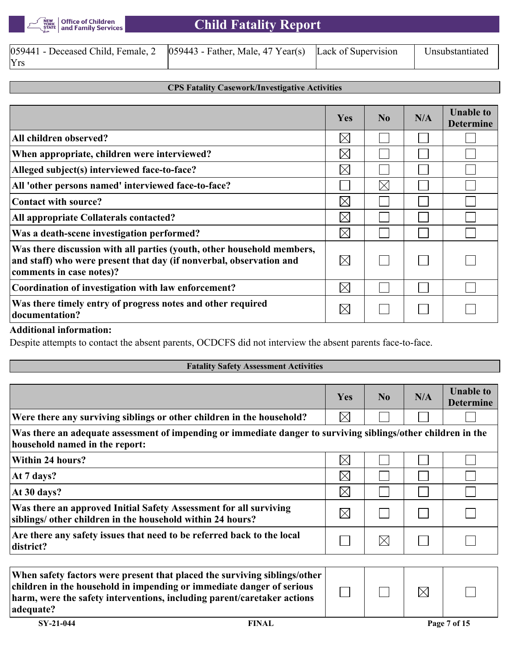

| $[059441$ - Deceased Child, Female, 2 $[059443$ - Father, Male, 47 Year(s) Lack of Supervision |  | Unsubstantiated |
|------------------------------------------------------------------------------------------------|--|-----------------|
| Yrs                                                                                            |  |                 |

#### **CPS Fatality Casework/Investigative Activities**

|                                                                                                                                                                           | <b>Yes</b>  | No          | N/A | <b>Unable to</b><br><b>Determine</b> |
|---------------------------------------------------------------------------------------------------------------------------------------------------------------------------|-------------|-------------|-----|--------------------------------------|
| All children observed?                                                                                                                                                    | $\boxtimes$ |             |     |                                      |
| When appropriate, children were interviewed?                                                                                                                              | $\boxtimes$ |             |     |                                      |
| Alleged subject(s) interviewed face-to-face?                                                                                                                              | $\boxtimes$ |             |     |                                      |
| All 'other persons named' interviewed face-to-face?                                                                                                                       |             | $\boxtimes$ |     |                                      |
| <b>Contact with source?</b>                                                                                                                                               | $\boxtimes$ |             |     |                                      |
| All appropriate Collaterals contacted?                                                                                                                                    | $\boxtimes$ |             |     |                                      |
| Was a death-scene investigation performed?                                                                                                                                | $\boxtimes$ |             |     |                                      |
| Was there discussion with all parties (youth, other household members,<br>and staff) who were present that day (if nonverbal, observation and<br>comments in case notes)? | $\boxtimes$ |             |     |                                      |
| Coordination of investigation with law enforcement?                                                                                                                       | $\boxtimes$ |             |     |                                      |
| Was there timely entry of progress notes and other required<br>documentation?                                                                                             | IX          |             |     |                                      |

#### **Additional information:**

Despite attempts to contact the absent parents, OCDCFS did not interview the absent parents face-to-face.

|                                                                                                                                                 | Yes         | N <sub>0</sub> | N/A | <b>Unable to</b><br><b>Determine</b> |
|-------------------------------------------------------------------------------------------------------------------------------------------------|-------------|----------------|-----|--------------------------------------|
| Were there any surviving siblings or other children in the household?                                                                           | $\boxtimes$ |                |     |                                      |
| Was there an adequate assessment of impending or immediate danger to surviving siblings/other children in the<br>household named in the report: |             |                |     |                                      |
| <b>Within 24 hours?</b>                                                                                                                         | $\times$    |                |     |                                      |
| At 7 days?                                                                                                                                      | $\boxtimes$ |                |     |                                      |
| At 30 days?                                                                                                                                     | $\times$    |                |     |                                      |
| Was there an approved Initial Safety Assessment for all surviving<br>siblings/ other children in the household within 24 hours?                 | $\boxtimes$ |                |     |                                      |
| Are there any safety issues that need to be referred back to the local<br>district?                                                             |             | $\boxtimes$    |     |                                      |

| adequate?   | When safety factors were present that placed the surviving siblings/other<br>children in the household in impending or immediate danger of serious<br>harm, were the safety interventions, including parent/caretaker actions |  |              |
|-------------|-------------------------------------------------------------------------------------------------------------------------------------------------------------------------------------------------------------------------------|--|--------------|
| $SY-21-044$ | <b>FINAL</b>                                                                                                                                                                                                                  |  | Page 7 of 15 |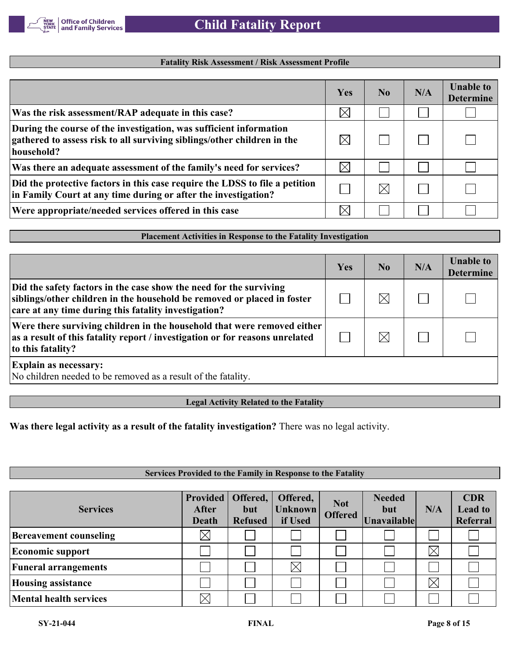

#### **Fatality Risk Assessment / Risk Assessment Profile**

|                                                                                                                                                             | Yes         | N <sub>0</sub> | N/A | <b>Unable to</b><br><b>Determine</b> |
|-------------------------------------------------------------------------------------------------------------------------------------------------------------|-------------|----------------|-----|--------------------------------------|
| Was the risk assessment/RAP adequate in this case?                                                                                                          | $\boxtimes$ |                |     |                                      |
| During the course of the investigation, was sufficient information<br>gathered to assess risk to all surviving siblings/other children in the<br>household? |             |                |     |                                      |
| Was there an adequate assessment of the family's need for services?                                                                                         | $\boxtimes$ |                |     |                                      |
| Did the protective factors in this case require the LDSS to file a petition<br>in Family Court at any time during or after the investigation?               |             | $\times$       |     |                                      |
| Were appropriate/needed services offered in this case                                                                                                       |             |                |     |                                      |

# **Placement Activities in Response to the Fatality Investigation**

|                                                                                                                                                                                                       | Yes | N <sub>0</sub> | N/A | <b>Unable to</b><br><b>Determine</b> |
|-------------------------------------------------------------------------------------------------------------------------------------------------------------------------------------------------------|-----|----------------|-----|--------------------------------------|
| Did the safety factors in the case show the need for the surviving<br>siblings/other children in the household be removed or placed in foster<br>care at any time during this fatality investigation? |     |                |     |                                      |
| Were there surviving children in the household that were removed either<br>as a result of this fatality report / investigation or for reasons unrelated<br>to this fatality?                          |     |                |     |                                      |
| <b>Explain as necessary:</b><br>No children needed to be removed as a result of the fatality.                                                                                                         |     |                |     |                                      |

#### **Legal Activity Related to the Fatality**

**Was there legal activity as a result of the fatality investigation?** There was no legal activity.

#### **Services Provided to the Family in Response to the Fatality**

| <b>Services</b>               | <b>Provided</b><br>After<br><b>Death</b> | Offered,<br>but<br><b>Refused</b> | Offered,<br><b>Unknown</b><br>if Used | <b>Not</b><br><b>Offered</b> | <b>Needed</b><br>but<br>Unavailable | N/A         | <b>CDR</b><br><b>Lead to</b><br>Referral |
|-------------------------------|------------------------------------------|-----------------------------------|---------------------------------------|------------------------------|-------------------------------------|-------------|------------------------------------------|
| <b>Bereavement counseling</b> |                                          |                                   |                                       |                              |                                     |             |                                          |
| <b>Economic support</b>       |                                          |                                   |                                       |                              |                                     | $\boxtimes$ |                                          |
| <b>Funeral arrangements</b>   |                                          |                                   | $\times$                              |                              |                                     |             |                                          |
| <b>Housing assistance</b>     |                                          |                                   |                                       |                              |                                     | $\boxtimes$ |                                          |
| <b>Mental health services</b> |                                          |                                   |                                       |                              |                                     |             |                                          |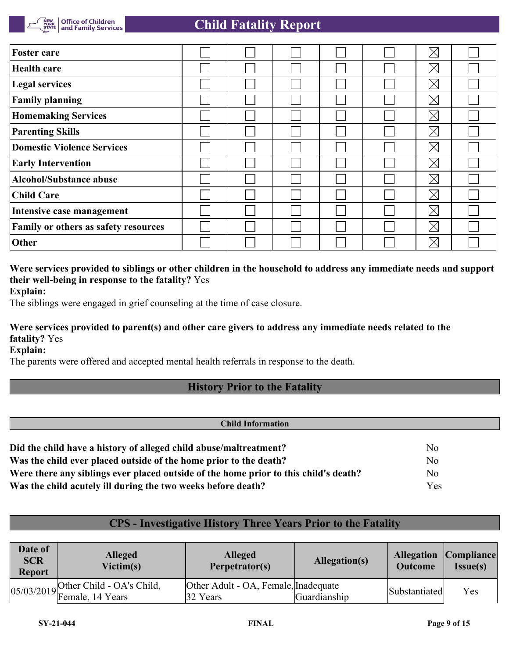| <b>Foster care</b>                          |  |  | $\times$    |  |
|---------------------------------------------|--|--|-------------|--|
| <b>Health care</b>                          |  |  | $\boxtimes$ |  |
| <b>Legal services</b>                       |  |  | $\boxtimes$ |  |
| <b>Family planning</b>                      |  |  | $\boxtimes$ |  |
| <b>Homemaking Services</b>                  |  |  | $\boxtimes$ |  |
| <b>Parenting Skills</b>                     |  |  | $\boxtimes$ |  |
| Domestic Violence Services                  |  |  | $\boxtimes$ |  |
| <b>Early Intervention</b>                   |  |  | $\boxtimes$ |  |
| <b>Alcohol/Substance abuse</b>              |  |  | $\boxtimes$ |  |
| <b>Child Care</b>                           |  |  | $\boxtimes$ |  |
| Intensive case management                   |  |  | $\boxtimes$ |  |
| <b>Family or others as safety resources</b> |  |  | $\boxtimes$ |  |
| Other                                       |  |  | $\times$    |  |

# **Were services provided to siblings or other children in the household to address any immediate needs and support their well-being in response to the fatality?** Yes

**Explain:**

The siblings were engaged in grief counseling at the time of case closure.

# **Were services provided to parent(s) and other care givers to address any immediate needs related to the fatality?** Yes

**Explain:**

The parents were offered and accepted mental health referrals in response to the death.

# **History Prior to the Fatality**

| <b>Child Information</b>                                                             |                |  |  |  |
|--------------------------------------------------------------------------------------|----------------|--|--|--|
|                                                                                      |                |  |  |  |
| Did the child have a history of alleged child abuse/maltreatment?                    | No             |  |  |  |
| Was the child ever placed outside of the home prior to the death?                    | N <sub>o</sub> |  |  |  |
| Were there any siblings ever placed outside of the home prior to this child's death? | No             |  |  |  |
| Was the child acutely ill during the two weeks before death?                         | Yes            |  |  |  |

# **CPS - Investigative History Three Years Prior to the Fatality**

| Date of<br><b>SCR</b><br><b>Report</b> | <b>Alleged</b><br>Victim(s)                                | <b>Alleged</b><br>Perpetrator(s)                 | Allegation(s) | <b>Outcome</b> | <b>Allegation Compliance</b><br>Issue(s) |
|----------------------------------------|------------------------------------------------------------|--------------------------------------------------|---------------|----------------|------------------------------------------|
|                                        | $05/03/2019$ Other Child - OA's Child,<br>Female, 14 Years | Other Adult - OA, Female, Inadequate<br>32 Years | Guardianship  | Substantiated  | Yes                                      |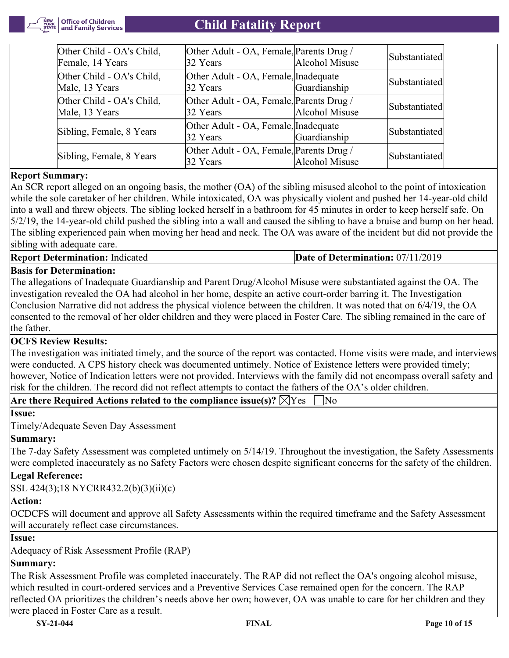

| Other Child - OA's Child,<br>Female, 14 Years | Other Adult - OA, Female, Parents Drug /<br>32 Years | Alcohol Misuse | Substantiatedl |
|-----------------------------------------------|------------------------------------------------------|----------------|----------------|
| Other Child - OA's Child,<br>Male, 13 Years   | Other Adult - OA, Female, Inadequate<br>32 Years     | Guardianship   | Substantiated  |
| Other Child - OA's Child,<br>Male, 13 Years   | Other Adult - OA, Female, Parents Drug /<br>32 Years | Alcohol Misuse | Substantiated  |
| Sibling, Female, 8 Years                      | Other Adult - OA, Female, Inadequate<br>32 Years     | Guardianship   | Substantiated  |
| Sibling, Female, 8 Years                      | Other Adult - OA, Female, Parents Drug /<br>32 Years | Alcohol Misuse | Substantiated  |

# **Report Summary:**

An SCR report alleged on an ongoing basis, the mother (OA) of the sibling misused alcohol to the point of intoxication while the sole caretaker of her children. While intoxicated, OA was physically violent and pushed her 14-year-old child into a wall and threw objects. The sibling locked herself in a bathroom for 45 minutes in order to keep herself safe. On 5/2/19, the 14-year-old child pushed the sibling into a wall and caused the sibling to have a bruise and bump on her head. The sibling experienced pain when moving her head and neck. The OA was aware of the incident but did not provide the sibling with adequate care.

# **Basis for Determination:**

The allegations of Inadequate Guardianship and Parent Drug/Alcohol Misuse were substantiated against the OA. The investigation revealed the OA had alcohol in her home, despite an active court-order barring it. The Investigation Conclusion Narrative did not address the physical violence between the children. It was noted that on 6/4/19, the OA consented to the removal of her older children and they were placed in Foster Care. The sibling remained in the care of the father.

# **OCFS Review Results:**

The investigation was initiated timely, and the source of the report was contacted. Home visits were made, and interviews were conducted. A CPS history check was documented untimely. Notice of Existence letters were provided timely; however, Notice of Indication letters were not provided. Interviews with the family did not encompass overall safety and risk for the children. The record did not reflect attempts to contact the fathers of the OA's older children.

| Are there Required Actions related to the compliance issue(s)? $\boxtimes$ Yes $\;\;\Box$ No |  |
|----------------------------------------------------------------------------------------------|--|
|----------------------------------------------------------------------------------------------|--|

**Issue:**

Timely/Adequate Seven Day Assessment

# **Summary:**

The 7-day Safety Assessment was completed untimely on 5/14/19. Throughout the investigation, the Safety Assessments were completed inaccurately as no Safety Factors were chosen despite significant concerns for the safety of the children.

# **Legal Reference:**

SSL 424(3);18 NYCRR432.2(b)(3)(ii)(c)

# **Action:**

OCDCFS will document and approve all Safety Assessments within the required timeframe and the Safety Assessment will accurately reflect case circumstances.

# **Issue:**

Adequacy of Risk Assessment Profile (RAP)

# **Summary:**

The Risk Assessment Profile was completed inaccurately. The RAP did not reflect the OA's ongoing alcohol misuse, which resulted in court-ordered services and a Preventive Services Case remained open for the concern. The RAP reflected OA prioritizes the children's needs above her own; however, OA was unable to care for her children and they were placed in Foster Care as a result.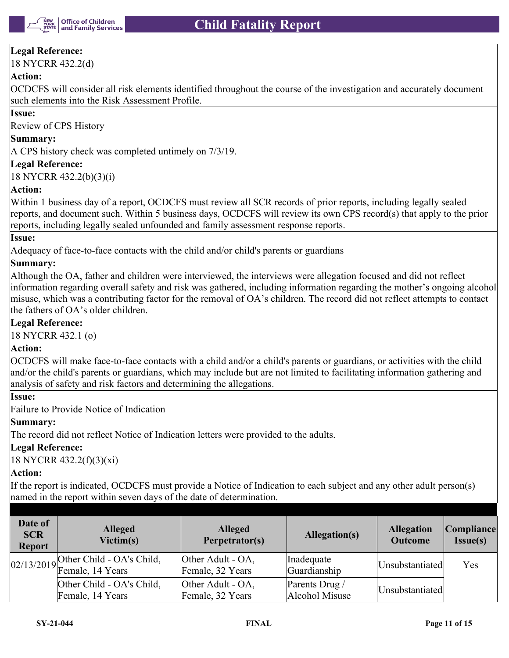

# **Legal Reference:**

18 NYCRR 432.2(d)

# **Action:**

OCDCFS will consider all risk elements identified throughout the course of the investigation and accurately document such elements into the Risk Assessment Profile.

#### **Issue:**

Review of CPS History

#### **Summary:**

A CPS history check was completed untimely on 7/3/19.

#### **Legal Reference:**

18 NYCRR 432.2(b)(3)(i)

# **Action:**

Within 1 business day of a report, OCDCFS must review all SCR records of prior reports, including legally sealed reports, and document such. Within 5 business days, OCDCFS will review its own CPS record(s) that apply to the prior reports, including legally sealed unfounded and family assessment response reports.

#### **Issue:**

Adequacy of face-to-face contacts with the child and/or child's parents or guardians

# **Summary:**

Although the OA, father and children were interviewed, the interviews were allegation focused and did not reflect information regarding overall safety and risk was gathered, including information regarding the mother's ongoing alcohol misuse, which was a contributing factor for the removal of OA's children. The record did not reflect attempts to contact the fathers of OA's older children.

#### **Legal Reference:**

18 NYCRR 432.1 (o)

#### **Action:**

OCDCFS will make face-to-face contacts with a child and/or a child's parents or guardians, or activities with the child and/or the child's parents or guardians, which may include but are not limited to facilitating information gathering and analysis of safety and risk factors and determining the allegations.

#### **Issue:**

Failure to Provide Notice of Indication

# **Summary:**

The record did not reflect Notice of Indication letters were provided to the adults.

# **Legal Reference:**

18 NYCRR 432.2(f)(3)(xi)

# **Action:**

If the report is indicated, OCDCFS must provide a Notice of Indication to each subject and any other adult person(s) named in the report within seven days of the date of determination.

| Date of<br><b>SCR</b><br><b>Report</b> | <b>Alleged</b><br>Victim(s)                              | <b>Alleged</b><br>Perpetrator(s)      | Allegation(s)                    | <b>Allegation</b><br><b>Outcome</b> | <b>Compliance</b><br>$Issue(s)$ |
|----------------------------------------|----------------------------------------------------------|---------------------------------------|----------------------------------|-------------------------------------|---------------------------------|
|                                        | 02/13/2019 Other Child - OA's Child,<br>Female, 14 Years | Other Adult - OA,<br>Female, 32 Years | Inadequate<br>Guardianship       | Unsubstantiated                     | Yes                             |
|                                        | Other Child - OA's Child,<br>Female, 14 Years            | Other Adult - OA,<br>Female, 32 Years | Parents Drug /<br>Alcohol Misuse | Unsubstantiated                     |                                 |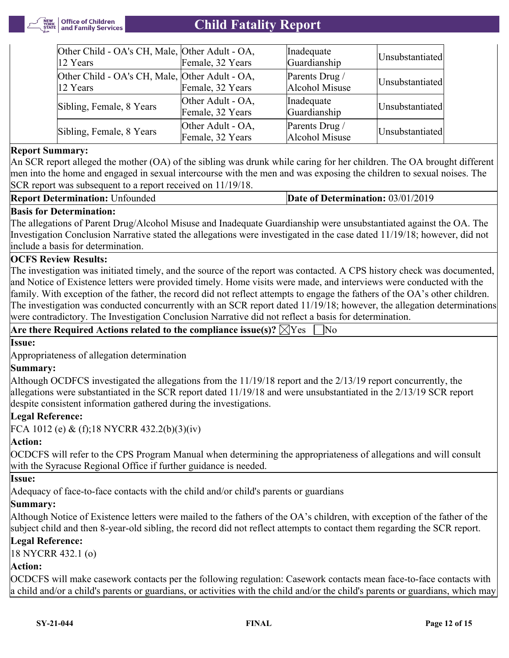

| Other Child - OA's CH, Male, Other Adult - OA,<br>12 Years             | Female, 32 Years                      | Inadequate<br>Guardianship       | Unsubstantiated |
|------------------------------------------------------------------------|---------------------------------------|----------------------------------|-----------------|
| Other Child - OA's CH, Male, Other Adult - OA,<br>$ 12 \text{ Years} $ | Female, 32 Years                      | Parents Drug /<br>Alcohol Misuse | Unsubstantiated |
| Sibling, Female, 8 Years                                               | Other Adult - OA,<br>Female, 32 Years | Inadequate<br>Guardianship       | Unsubstantiated |
| Sibling, Female, 8 Years                                               | Other Adult - OA,<br>Female, 32 Years | Parents Drug /<br>Alcohol Misuse | Unsubstantiated |

#### **Report Summary:**

An SCR report alleged the mother (OA) of the sibling was drunk while caring for her children. The OA brought different men into the home and engaged in sexual intercourse with the men and was exposing the children to sexual noises. The SCR report was subsequent to a report received on  $11/19/18$ .

#### **Report Determination:** Unfounded **Date of Determination:** 03/01/2019

# **Basis for Determination:**

The allegations of Parent Drug/Alcohol Misuse and Inadequate Guardianship were unsubstantiated against the OA. The Investigation Conclusion Narrative stated the allegations were investigated in the case dated 11/19/18; however, did not include a basis for determination.

#### **OCFS Review Results:**

The investigation was initiated timely, and the source of the report was contacted. A CPS history check was documented, and Notice of Existence letters were provided timely. Home visits were made, and interviews were conducted with the family. With exception of the father, the record did not reflect attempts to engage the fathers of the OA's other children. The investigation was conducted concurrently with an SCR report dated 11/19/18; however, the allegation determinations were contradictory. The Investigation Conclusion Narrative did not reflect a basis for determination.

|  | Are there Required Actions related to the compliance issue(s)? $\boxtimes$ Yes $\quad \Box$ No |  |  |  |
|--|------------------------------------------------------------------------------------------------|--|--|--|
|--|------------------------------------------------------------------------------------------------|--|--|--|

# **Issue:**

Appropriateness of allegation determination

#### **Summary:**

Although OCDFCS investigated the allegations from the 11/19/18 report and the 2/13/19 report concurrently, the allegations were substantiated in the SCR report dated 11/19/18 and were unsubstantiated in the 2/13/19 SCR report despite consistent information gathered during the investigations.

#### **Legal Reference:**

FCA 1012 (e) & (f);18 NYCRR 432.2(b)(3)(iv)

#### **Action:**

OCDCFS will refer to the CPS Program Manual when determining the appropriateness of allegations and will consult with the Syracuse Regional Office if further guidance is needed.

# **Issue:**

Adequacy of face-to-face contacts with the child and/or child's parents or guardians

#### **Summary:**

Although Notice of Existence letters were mailed to the fathers of the OA's children, with exception of the father of the subject child and then 8-year-old sibling, the record did not reflect attempts to contact them regarding the SCR report.

#### **Legal Reference:**

18 NYCRR 432.1 (o)

# **Action:**

OCDCFS will make casework contacts per the following regulation: Casework contacts mean face-to-face contacts with a child and/or a child's parents or guardians, or activities with the child and/or the child's parents or guardians, which may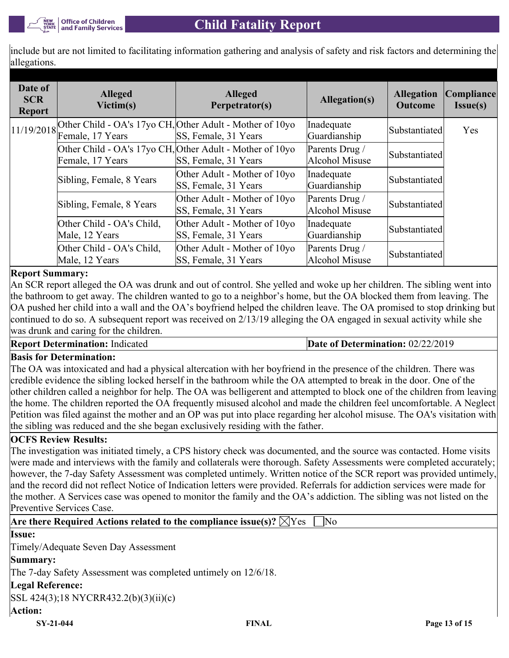include but are not limited to facilitating information gathering and analysis of safety and risk factors and determining the allegations.

| Date of<br><b>SCR</b><br><b>Report</b> | <b>Alleged</b><br>Victim(s)                    | <b>Alleged</b><br>Perpetrator(s)                                                 | Allegation(s)                    | <b>Allegation</b><br><b>Outcome</b> | Compliance <br>I <sub>ssue(s)</sub> |
|----------------------------------------|------------------------------------------------|----------------------------------------------------------------------------------|----------------------------------|-------------------------------------|-------------------------------------|
|                                        | $11/19/2018$ $\boxed{\text{Female, 17 Years}}$ | Other Child - OA's 17yo CH, Other Adult - Mother of 10yo<br>SS, Female, 31 Years | Inadequate<br>Guardianship       | Substantiated                       | Yes                                 |
|                                        | Female, 17 Years                               | Other Child - OA's 17yo CH, Other Adult - Mother of 10yo<br>SS, Female, 31 Years | Parents Drug /<br>Alcohol Misuse | Substantiated                       |                                     |
|                                        | Sibling, Female, 8 Years                       | Other Adult - Mother of 10yo<br>SS, Female, 31 Years                             | Inadequate<br>Guardianship       | Substantiated                       |                                     |
|                                        | Sibling, Female, 8 Years                       | Other Adult - Mother of 10yo<br>SS, Female, 31 Years                             | Parents Drug /<br>Alcohol Misuse | Substantiated                       |                                     |
|                                        | Other Child - OA's Child,<br>Male, 12 Years    | Other Adult - Mother of 10yo<br>SS, Female, 31 Years                             | Inadequate<br>Guardianship       | Substantiated                       |                                     |
|                                        | Other Child - OA's Child,<br>Male, 12 Years    | Other Adult - Mother of 10yo<br>SS, Female, 31 Years                             | Parents Drug /<br>Alcohol Misuse | Substantiated                       |                                     |

# **Report Summary:**

An SCR report alleged the OA was drunk and out of control. She yelled and woke up her children. The sibling went into the bathroom to get away. The children wanted to go to a neighbor's home, but the OA blocked them from leaving. The OA pushed her child into a wall and the OA's boyfriend helped the children leave. The OA promised to stop drinking but continued to do so. A subsequent report was received on 2/13/19 alleging the OA engaged in sexual activity while she was drunk and caring for the children.

**Report Determination:** Indicated **Date of Determination: 02/22/2019** 

#### **Basis for Determination:**

The OA was intoxicated and had a physical altercation with her boyfriend in the presence of the children. There was credible evidence the sibling locked herself in the bathroom while the OA attempted to break in the door. One of the other children called a neighbor for help. The OA was belligerent and attempted to block one of the children from leaving the home. The children reported the OA frequently misused alcohol and made the children feel uncomfortable. A Neglect Petition was filed against the mother and an OP was put into place regarding her alcohol misuse. The OA's visitation with the sibling was reduced and the she began exclusively residing with the father.

#### **OCFS Review Results:**

The investigation was initiated timely, a CPS history check was documented, and the source was contacted. Home visits were made and interviews with the family and collaterals were thorough. Safety Assessments were completed accurately; however, the 7-day Safety Assessment was completed untimely. Written notice of the SCR report was provided untimely, and the record did not reflect Notice of Indication letters were provided. Referrals for addiction services were made for the mother. A Services case was opened to monitor the family and the OA's addiction. The sibling was not listed on the Preventive Services Case.

|  | Are there Required Actions related to the compliance issue(s)? $\boxtimes$ Yes $\Box$ No |  |  |  |  |  |
|--|------------------------------------------------------------------------------------------|--|--|--|--|--|
|--|------------------------------------------------------------------------------------------|--|--|--|--|--|

# **Issue:**

Timely/Adequate Seven Day Assessment

#### **Summary:**

The 7-day Safety Assessment was completed untimely on 12/6/18.

# **Legal Reference:**

SSL 424(3);18 NYCRR432.2(b)(3)(ii)(c)

#### **Action:**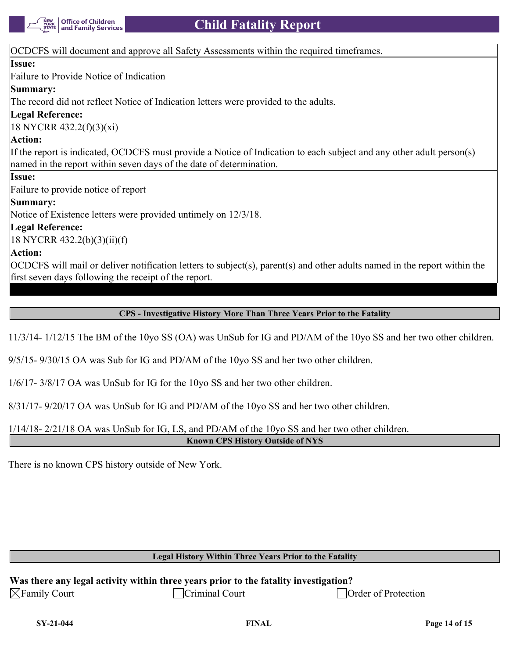

#### OCDCFS will document and approve all Safety Assessments within the required timeframes.

#### **Issue:**

Failure to Provide Notice of Indication

# **Summary:**

The record did not reflect Notice of Indication letters were provided to the adults.

# **Legal Reference:**

18 NYCRR 432.2(f)(3)(xi)

# **Action:**

If the report is indicated, OCDCFS must provide a Notice of Indication to each subject and any other adult person(s) named in the report within seven days of the date of determination.

# **Issue:**

Failure to provide notice of report

# **Summary:**

Notice of Existence letters were provided untimely on 12/3/18.

# **Legal Reference:**

18 NYCRR 432.2(b)(3)(ii)(f)

# **Action:**

OCDCFS will mail or deliver notification letters to subject(s), parent(s) and other adults named in the report within the first seven days following the receipt of the report.

**CPS - Investigative History More Than Three Years Prior to the Fatality**

11/3/14- 1/12/15 The BM of the 10yo SS (OA) was UnSub for IG and PD/AM of the 10yo SS and her two other children.

9/5/15- 9/30/15 OA was Sub for IG and PD/AM of the 10yo SS and her two other children.

1/6/17- 3/8/17 OA was UnSub for IG for the 10yo SS and her two other children.

8/31/17- 9/20/17 OA was UnSub for IG and PD/AM of the 10yo SS and her two other children.

1/14/18- 2/21/18 OA was UnSub for IG, LS, and PD/AM of the 10yo SS and her two other children.

**Known CPS History Outside of NYS**

There is no known CPS history outside of New York.

#### **Legal History Within Three Years Prior to the Fatality**

|                          | Was there any legal activity within three years prior to the fatality investigation? |               |
|--------------------------|--------------------------------------------------------------------------------------|---------------|
| $\boxtimes$ Family Court | Criminal Court                                                                       | $\vert$ Order |

of Protection